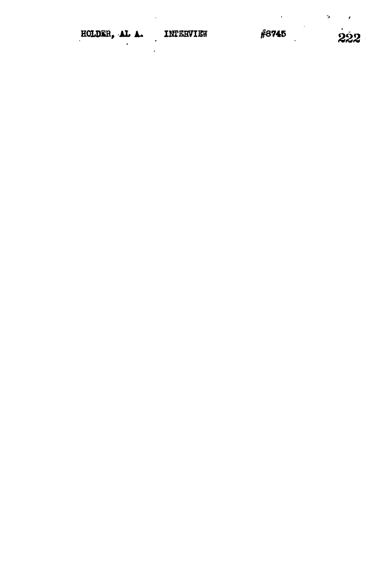$\overline{1}$ 

 $\blacktriangleright$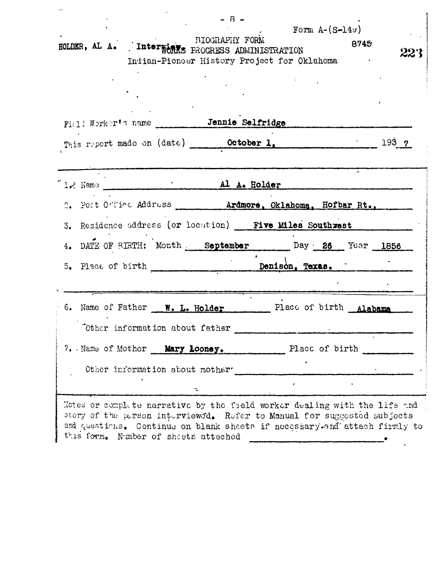| $-8 -$<br>$\mathbb{F}$ orm A- $(S-14y)$<br>FOLDER, AL A. Intermediate BIOGRAPHY FORM<br>8745<br>223<br>Indian-Pioneer History Project for Oklahoma                                                                                                                        |                |
|---------------------------------------------------------------------------------------------------------------------------------------------------------------------------------------------------------------------------------------------------------------------------|----------------|
|                                                                                                                                                                                                                                                                           |                |
|                                                                                                                                                                                                                                                                           |                |
| This report made on (date) <b>October 1.</b> 193 7                                                                                                                                                                                                                        |                |
| 1. Name Al A. Holder                                                                                                                                                                                                                                                      |                |
| 2. Post Office Address Mardmore, Oklahoma, Hofbar Rt.,                                                                                                                                                                                                                    |                |
| 3. Residence address (or location) Five Miles Southwest                                                                                                                                                                                                                   |                |
| 4. DATE OF BIRTH: Month September Day 26 Year 1856                                                                                                                                                                                                                        |                |
| 5. Place of birth <b>Denison</b> , Texas.                                                                                                                                                                                                                                 |                |
| 6. Name of Father W. L. Holder Place of birth Alabama                                                                                                                                                                                                                     |                |
| Other information about father                                                                                                                                                                                                                                            |                |
| 7. Name of Mother Mary Looney.                                                                                                                                                                                                                                            | Place of birth |
| Other information about mother.                                                                                                                                                                                                                                           |                |
|                                                                                                                                                                                                                                                                           |                |
| Notes or complete narrative by the field worker dealing with the life and<br>story of the person interviewed. Refer to Manual for suggested subjects<br>and questions. Continue on blank sheets if necessary.and attach firmly to<br>this form. Number of sheets attached |                |

 $\mathbb{R}^2$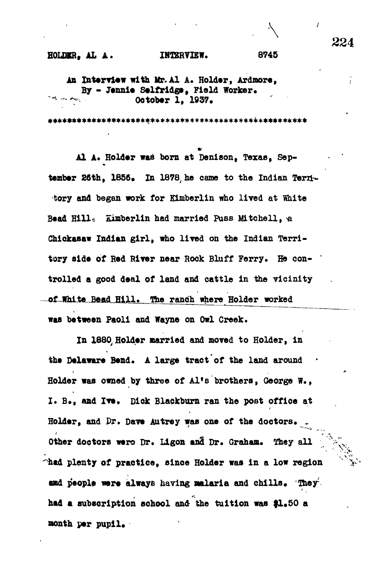## **HOUBR, AL A . IHTKRVEW. 8745**

**An Interview with Itr-Al A. Holder, Ardmore,** By - Jennie Selfridge, Field Worker. **----^ ;. October 1, 1937.**

**Al A. Holder was born at Denison. Texas, Sep**tember 26th, 1856. In 1878 he came to the Indian Terri**tory and began work for Kimberlin who lived at White** Bead Hill<sub>c</sub> Eimberlin had married Puss Mitchell, a **Chiokasaw Indian girl, who lived on the Indian Territory side of Red River near Rock Bluff Ferry. He con- \* trolled a good deal of land and cattle in the vicinity** of White Bead Hill. The ranch where Holder worked **was between Paoli and Wayne on Owl Creek.**

**In 1880, Holder married and moved to Holder, in the Delaware Bend. A large tract of the land around Holder was owned by three of Al's brothers, George W., I. B., and Ire. Dick Blackburn ran the post office at Holder, and Dr. Dave Autrey was one of the doctors. . Other doctors wero Dr. Ligon and Dr. Graham. They all : V<sup>S</sup> . had plenty of practice, since Holder was in a low region** and people were always having malaria and chills. They had a subscription school and the tuition was \$1.50 a month per pupil.

224